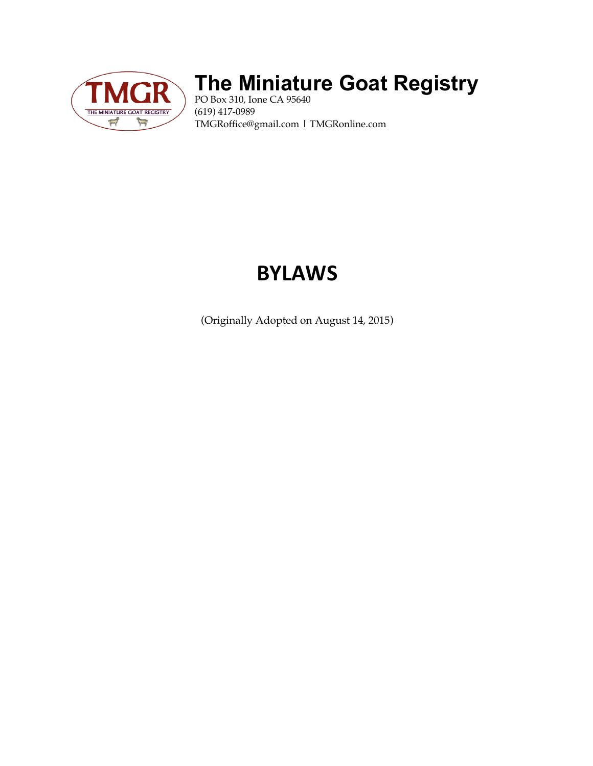

## **The Miniature Goat Registry**

PO Box 310, Ione CA 95640 (619) 417-0989 TMGRoffice@gmail.com | TMGRonline.com

# **BYLAWS**

(Originally Adopted on August 14, 2015)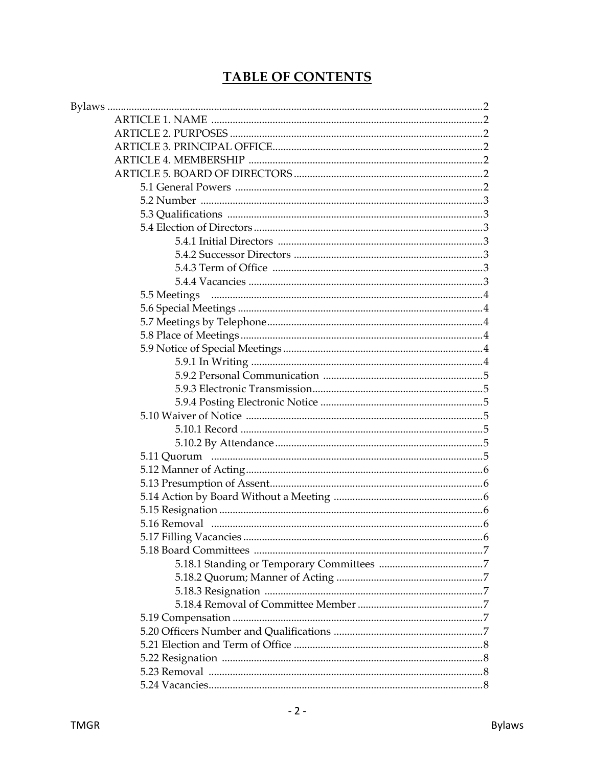## **TABLE OF CONTENTS**

| 5.5 Meetings |  |
|--------------|--|
|              |  |
|              |  |
|              |  |
|              |  |
|              |  |
|              |  |
|              |  |
|              |  |
|              |  |
|              |  |
|              |  |
|              |  |
|              |  |
|              |  |
|              |  |
|              |  |
|              |  |
|              |  |
|              |  |
|              |  |
|              |  |
|              |  |
|              |  |
|              |  |
|              |  |
|              |  |
|              |  |
|              |  |
|              |  |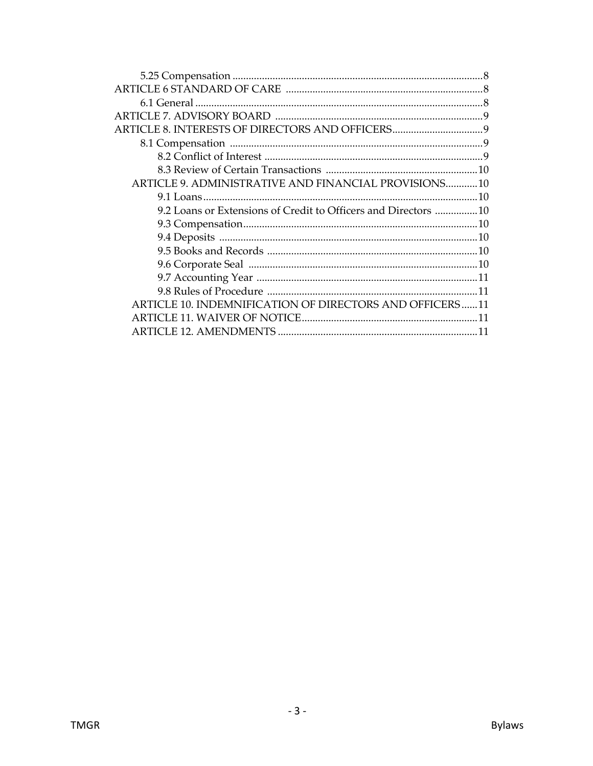| ARTICLE 9. ADMINISTRATIVE AND FINANCIAL PROVISIONS10           |  |
|----------------------------------------------------------------|--|
|                                                                |  |
| 9.2 Loans or Extensions of Credit to Officers and Directors 10 |  |
|                                                                |  |
|                                                                |  |
|                                                                |  |
|                                                                |  |
|                                                                |  |
|                                                                |  |
| ARTICLE 10. INDEMNIFICATION OF DIRECTORS AND OFFICERS11        |  |
|                                                                |  |
|                                                                |  |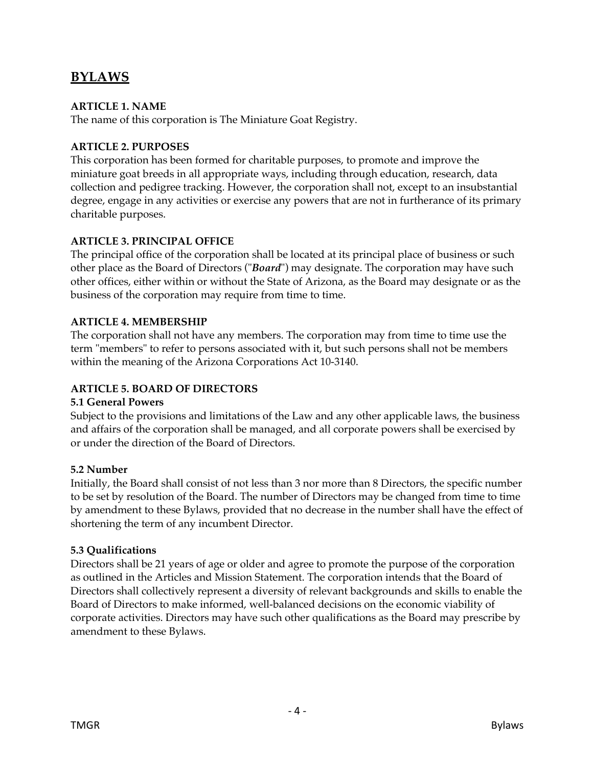## **BYLAWS**

## **ARTICLE 1. NAME**

The name of this corporation is The Miniature Goat Registry.

## **ARTICLE 2. PURPOSES**

This corporation has been formed for charitable purposes, to promote and improve the miniature goat breeds in all appropriate ways, including through education, research, data collection and pedigree tracking. However, the corporation shall not, except to an insubstantial degree, engage in any activities or exercise any powers that are not in furtherance of its primary charitable purposes.

## **ARTICLE 3. PRINCIPAL OFFICE**

The principal office of the corporation shall be located at its principal place of business or such other place as the Board of Directors ("*Board*") may designate. The corporation may have such other offices, either within or without the State of Arizona, as the Board may designate or as the business of the corporation may require from time to time.

## **ARTICLE 4. MEMBERSHIP**

The corporation shall not have any members. The corporation may from time to time use the term "members" to refer to persons associated with it, but such persons shall not be members within the meaning of the Arizona Corporations Act 10-3140.

## **ARTICLE 5. BOARD OF DIRECTORS**

## **5.1 General Powers**

Subject to the provisions and limitations of the Law and any other applicable laws, the business and affairs of the corporation shall be managed, and all corporate powers shall be exercised by or under the direction of the Board of Directors.

## **5.2 Number**

Initially, the Board shall consist of not less than 3 nor more than 8 Directors, the specific number to be set by resolution of the Board. The number of Directors may be changed from time to time by amendment to these Bylaws, provided that no decrease in the number shall have the effect of shortening the term of any incumbent Director.

## **5.3 Qualifications**

Directors shall be 21 years of age or older and agree to promote the purpose of the corporation as outlined in the Articles and Mission Statement. The corporation intends that the Board of Directors shall collectively represent a diversity of relevant backgrounds and skills to enable the Board of Directors to make informed, well-balanced decisions on the economic viability of corporate activities. Directors may have such other qualifications as the Board may prescribe by amendment to these Bylaws.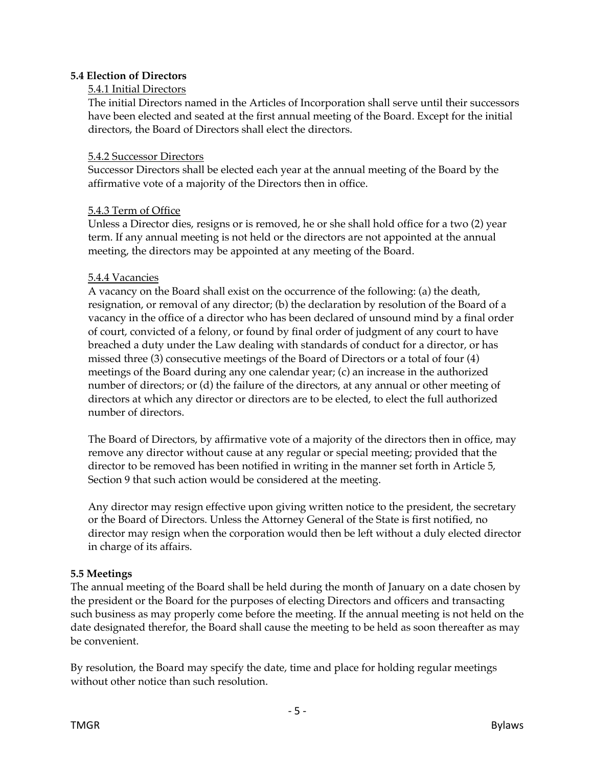#### **5.4 Election of Directors**

#### 5.4.1 Initial Directors

The initial Directors named in the Articles of Incorporation shall serve until their successors have been elected and seated at the first annual meeting of the Board. Except for the initial directors, the Board of Directors shall elect the directors.

#### 5.4.2 Successor Directors

Successor Directors shall be elected each year at the annual meeting of the Board by the affirmative vote of a majority of the Directors then in office.

#### 5.4.3 Term of Office

Unless a Director dies, resigns or is removed, he or she shall hold office for a two (2) year term. If any annual meeting is not held or the directors are not appointed at the annual meeting, the directors may be appointed at any meeting of the Board.

#### 5.4.4 Vacancies

A vacancy on the Board shall exist on the occurrence of the following: (a) the death, resignation, or removal of any director; (b) the declaration by resolution of the Board of a vacancy in the office of a director who has been declared of unsound mind by a final order of court, convicted of a felony, or found by final order of judgment of any court to have breached a duty under the Law dealing with standards of conduct for a director, or has missed three (3) consecutive meetings of the Board of Directors or a total of four (4) meetings of the Board during any one calendar year; (c) an increase in the authorized number of directors; or (d) the failure of the directors, at any annual or other meeting of directors at which any director or directors are to be elected, to elect the full authorized number of directors.

The Board of Directors, by affirmative vote of a majority of the directors then in office, may remove any director without cause at any regular or special meeting; provided that the director to be removed has been notified in writing in the manner set forth in Article 5, Section 9 that such action would be considered at the meeting.

Any director may resign effective upon giving written notice to the president, the secretary or the Board of Directors. Unless the Attorney General of the State is first notified, no director may resign when the corporation would then be left without a duly elected director in charge of its affairs.

#### **5.5 Meetings**

The annual meeting of the Board shall be held during the month of January on a date chosen by the president or the Board for the purposes of electing Directors and officers and transacting such business as may properly come before the meeting. If the annual meeting is not held on the date designated therefor, the Board shall cause the meeting to be held as soon thereafter as may be convenient.

By resolution, the Board may specify the date, time and place for holding regular meetings without other notice than such resolution.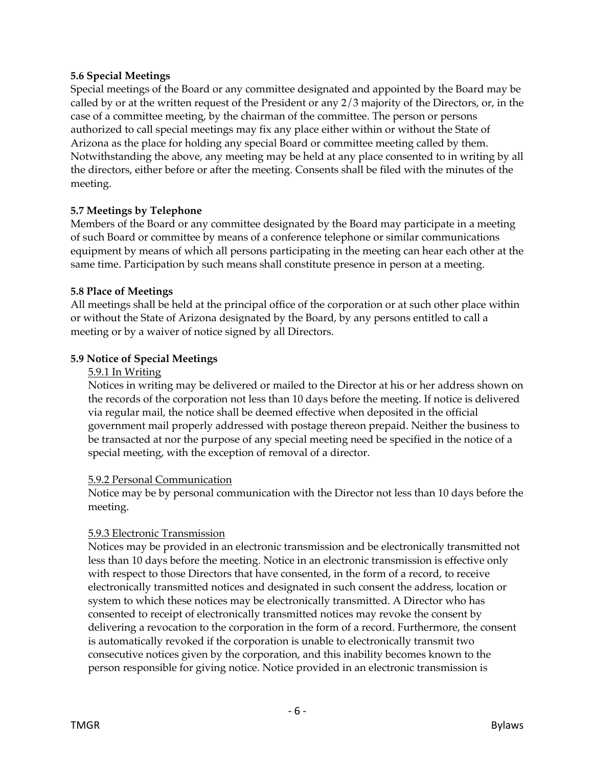#### **5.6 Special Meetings**

Special meetings of the Board or any committee designated and appointed by the Board may be called by or at the written request of the President or any 2/3 majority of the Directors, or, in the case of a committee meeting, by the chairman of the committee. The person or persons authorized to call special meetings may fix any place either within or without the State of Arizona as the place for holding any special Board or committee meeting called by them. Notwithstanding the above, any meeting may be held at any place consented to in writing by all the directors, either before or after the meeting. Consents shall be filed with the minutes of the meeting.

## **5.7 Meetings by Telephone**

Members of the Board or any committee designated by the Board may participate in a meeting of such Board or committee by means of a conference telephone or similar communications equipment by means of which all persons participating in the meeting can hear each other at the same time. Participation by such means shall constitute presence in person at a meeting.

#### **5.8 Place of Meetings**

All meetings shall be held at the principal office of the corporation or at such other place within or without the State of Arizona designated by the Board, by any persons entitled to call a meeting or by a waiver of notice signed by all Directors.

## **5.9 Notice of Special Meetings**

#### 5.9.1 In Writing

Notices in writing may be delivered or mailed to the Director at his or her address shown on the records of the corporation not less than 10 days before the meeting. If notice is delivered via regular mail, the notice shall be deemed effective when deposited in the official government mail properly addressed with postage thereon prepaid. Neither the business to be transacted at nor the purpose of any special meeting need be specified in the notice of a special meeting, with the exception of removal of a director.

#### 5.9.2 Personal Communication

Notice may be by personal communication with the Director not less than 10 days before the meeting.

#### 5.9.3 Electronic Transmission

Notices may be provided in an electronic transmission and be electronically transmitted not less than 10 days before the meeting. Notice in an electronic transmission is effective only with respect to those Directors that have consented, in the form of a record, to receive electronically transmitted notices and designated in such consent the address, location or system to which these notices may be electronically transmitted. A Director who has consented to receipt of electronically transmitted notices may revoke the consent by delivering a revocation to the corporation in the form of a record. Furthermore, the consent is automatically revoked if the corporation is unable to electronically transmit two consecutive notices given by the corporation, and this inability becomes known to the person responsible for giving notice. Notice provided in an electronic transmission is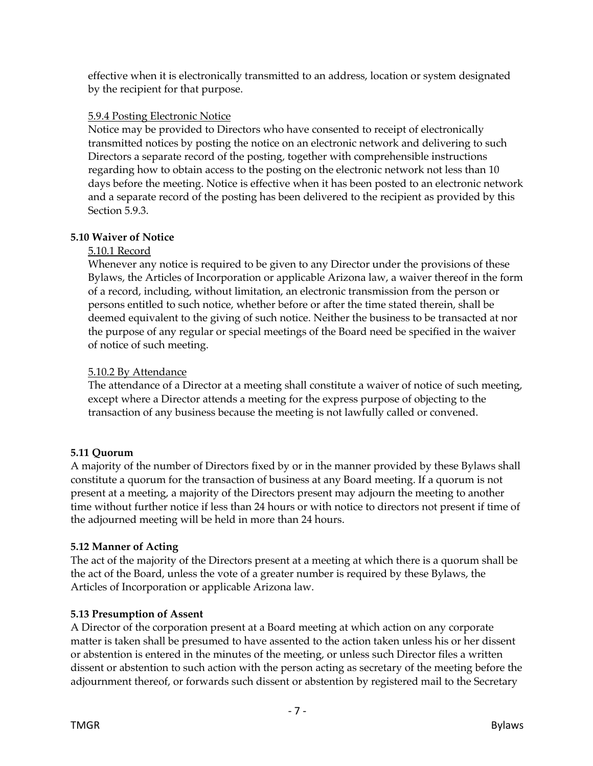effective when it is electronically transmitted to an address, location or system designated by the recipient for that purpose.

## 5.9.4 Posting Electronic Notice

Notice may be provided to Directors who have consented to receipt of electronically transmitted notices by posting the notice on an electronic network and delivering to such Directors a separate record of the posting, together with comprehensible instructions regarding how to obtain access to the posting on the electronic network not less than 10 days before the meeting. Notice is effective when it has been posted to an electronic network and a separate record of the posting has been delivered to the recipient as provided by this Section 5.9.3.

## **5.10 Waiver of Notice**

## 5.10.1 Record

Whenever any notice is required to be given to any Director under the provisions of these Bylaws, the Articles of Incorporation or applicable Arizona law, a waiver thereof in the form of a record, including, without limitation, an electronic transmission from the person or persons entitled to such notice, whether before or after the time stated therein, shall be deemed equivalent to the giving of such notice. Neither the business to be transacted at nor the purpose of any regular or special meetings of the Board need be specified in the waiver of notice of such meeting.

## 5.10.2 By Attendance

The attendance of a Director at a meeting shall constitute a waiver of notice of such meeting, except where a Director attends a meeting for the express purpose of objecting to the transaction of any business because the meeting is not lawfully called or convened.

## **5.11 Quorum**

A majority of the number of Directors fixed by or in the manner provided by these Bylaws shall constitute a quorum for the transaction of business at any Board meeting. If a quorum is not present at a meeting, a majority of the Directors present may adjourn the meeting to another time without further notice if less than 24 hours or with notice to directors not present if time of the adjourned meeting will be held in more than 24 hours.

## **5.12 Manner of Acting**

The act of the majority of the Directors present at a meeting at which there is a quorum shall be the act of the Board, unless the vote of a greater number is required by these Bylaws, the Articles of Incorporation or applicable Arizona law.

## **5.13 Presumption of Assent**

A Director of the corporation present at a Board meeting at which action on any corporate matter is taken shall be presumed to have assented to the action taken unless his or her dissent or abstention is entered in the minutes of the meeting, or unless such Director files a written dissent or abstention to such action with the person acting as secretary of the meeting before the adjournment thereof, or forwards such dissent or abstention by registered mail to the Secretary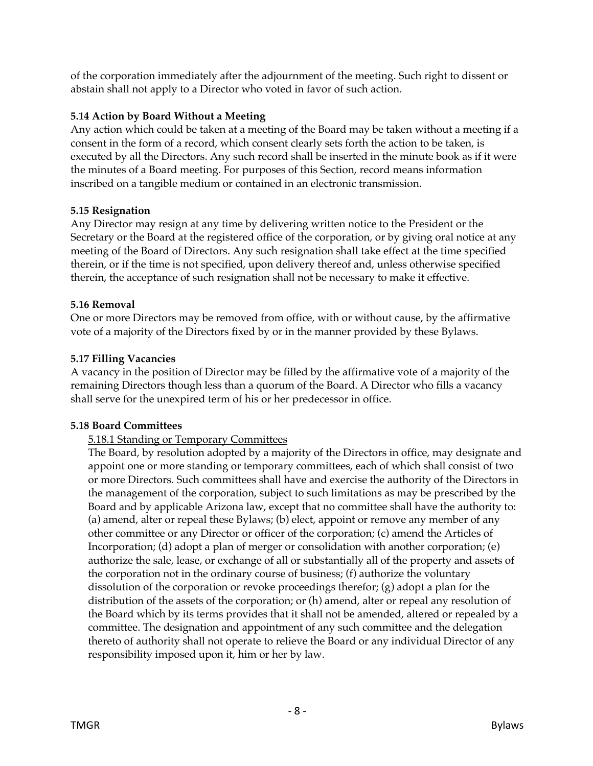of the corporation immediately after the adjournment of the meeting. Such right to dissent or abstain shall not apply to a Director who voted in favor of such action.

## **5.14 Action by Board Without a Meeting**

Any action which could be taken at a meeting of the Board may be taken without a meeting if a consent in the form of a record, which consent clearly sets forth the action to be taken, is executed by all the Directors. Any such record shall be inserted in the minute book as if it were the minutes of a Board meeting. For purposes of this Section, record means information inscribed on a tangible medium or contained in an electronic transmission.

## **5.15 Resignation**

Any Director may resign at any time by delivering written notice to the President or the Secretary or the Board at the registered office of the corporation, or by giving oral notice at any meeting of the Board of Directors. Any such resignation shall take effect at the time specified therein, or if the time is not specified, upon delivery thereof and, unless otherwise specified therein, the acceptance of such resignation shall not be necessary to make it effective.

## **5.16 Removal**

One or more Directors may be removed from office, with or without cause, by the affirmative vote of a majority of the Directors fixed by or in the manner provided by these Bylaws.

## **5.17 Filling Vacancies**

A vacancy in the position of Director may be filled by the affirmative vote of a majority of the remaining Directors though less than a quorum of the Board. A Director who fills a vacancy shall serve for the unexpired term of his or her predecessor in office.

## **5.18 Board Committees**

## 5.18.1 Standing or Temporary Committees

The Board, by resolution adopted by a majority of the Directors in office, may designate and appoint one or more standing or temporary committees, each of which shall consist of two or more Directors. Such committees shall have and exercise the authority of the Directors in the management of the corporation, subject to such limitations as may be prescribed by the Board and by applicable Arizona law, except that no committee shall have the authority to: (a) amend, alter or repeal these Bylaws; (b) elect, appoint or remove any member of any other committee or any Director or officer of the corporation; (c) amend the Articles of Incorporation; (d) adopt a plan of merger or consolidation with another corporation; (e) authorize the sale, lease, or exchange of all or substantially all of the property and assets of the corporation not in the ordinary course of business; (f) authorize the voluntary dissolution of the corporation or revoke proceedings therefor; (g) adopt a plan for the distribution of the assets of the corporation; or (h) amend, alter or repeal any resolution of the Board which by its terms provides that it shall not be amended, altered or repealed by a committee. The designation and appointment of any such committee and the delegation thereto of authority shall not operate to relieve the Board or any individual Director of any responsibility imposed upon it, him or her by law.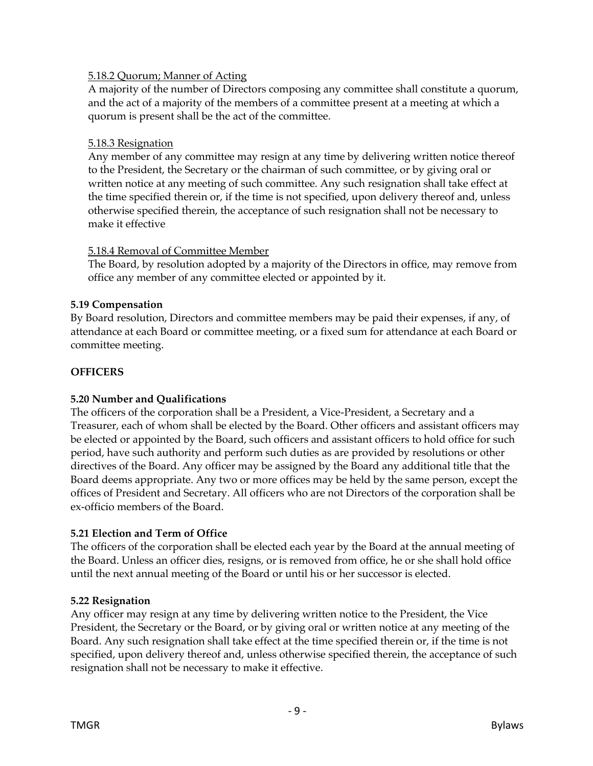## 5.18.2 Quorum; Manner of Acting

A majority of the number of Directors composing any committee shall constitute a quorum, and the act of a majority of the members of a committee present at a meeting at which a quorum is present shall be the act of the committee.

#### 5.18.3 Resignation

Any member of any committee may resign at any time by delivering written notice thereof to the President, the Secretary or the chairman of such committee, or by giving oral or written notice at any meeting of such committee. Any such resignation shall take effect at the time specified therein or, if the time is not specified, upon delivery thereof and, unless otherwise specified therein, the acceptance of such resignation shall not be necessary to make it effective

#### 5.18.4 Removal of Committee Member

The Board, by resolution adopted by a majority of the Directors in office, may remove from office any member of any committee elected or appointed by it.

#### **5.19 Compensation**

By Board resolution, Directors and committee members may be paid their expenses, if any, of attendance at each Board or committee meeting, or a fixed sum for attendance at each Board or committee meeting.

## **OFFICERS**

## **5.20 Number and Qualifications**

The officers of the corporation shall be a President, a Vice-President, a Secretary and a Treasurer, each of whom shall be elected by the Board. Other officers and assistant officers may be elected or appointed by the Board, such officers and assistant officers to hold office for such period, have such authority and perform such duties as are provided by resolutions or other directives of the Board. Any officer may be assigned by the Board any additional title that the Board deems appropriate. Any two or more offices may be held by the same person, except the offices of President and Secretary. All officers who are not Directors of the corporation shall be ex-officio members of the Board.

#### **5.21 Election and Term of Office**

The officers of the corporation shall be elected each year by the Board at the annual meeting of the Board. Unless an officer dies, resigns, or is removed from office, he or she shall hold office until the next annual meeting of the Board or until his or her successor is elected.

#### **5.22 Resignation**

Any officer may resign at any time by delivering written notice to the President, the Vice President, the Secretary or the Board, or by giving oral or written notice at any meeting of the Board. Any such resignation shall take effect at the time specified therein or, if the time is not specified, upon delivery thereof and, unless otherwise specified therein, the acceptance of such resignation shall not be necessary to make it effective.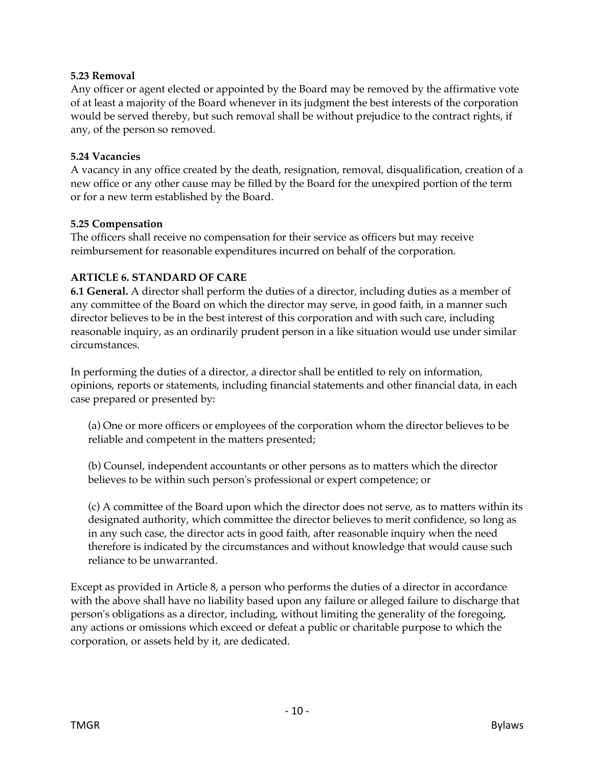#### **5.23 Removal**

Any officer or agent elected or appointed by the Board may be removed by the affirmative vote of at least a majority of the Board whenever in its judgment the best interests of the corporation would be served thereby, but such removal shall be without prejudice to the contract rights, if any, of the person so removed.

#### **5.24 Vacancies**

A vacancy in any office created by the death, resignation, removal, disqualification, creation of a new office or any other cause may be filled by the Board for the unexpired portion of the term or for a new term established by the Board.

#### **5.25 Compensation**

The officers shall receive no compensation for their service as officers but may receive reimbursement for reasonable expenditures incurred on behalf of the corporation.

#### **ARTICLE 6. STANDARD OF CARE**

**6.1 General.** A director shall perform the duties of a director, including duties as a member of any committee of the Board on which the director may serve, in good faith, in a manner such director believes to be in the best interest of this corporation and with such care, including reasonable inquiry, as an ordinarily prudent person in a like situation would use under similar circumstances.

In performing the duties of a director, a director shall be entitled to rely on information, opinions, reports or statements, including financial statements and other financial data, in each case prepared or presented by:

(a) One or more officers or employees of the corporation whom the director believes to be reliable and competent in the matters presented;

(b) Counsel, independent accountants or other persons as to matters which the director believes to be within such person's professional or expert competence; or

(c) A committee of the Board upon which the director does not serve, as to matters within its designated authority, which committee the director believes to merit confidence, so long as in any such case, the director acts in good faith, after reasonable inquiry when the need therefore is indicated by the circumstances and without knowledge that would cause such reliance to be unwarranted.

Except as provided in Article 8, a person who performs the duties of a director in accordance with the above shall have no liability based upon any failure or alleged failure to discharge that person's obligations as a director, including, without limiting the generality of the foregoing, any actions or omissions which exceed or defeat a public or charitable purpose to which the corporation, or assets held by it, are dedicated.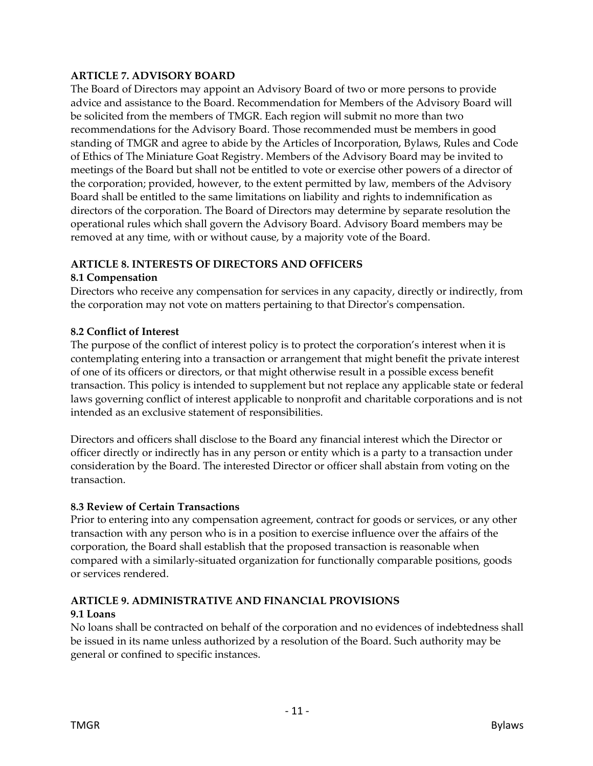## **ARTICLE 7. ADVISORY BOARD**

The Board of Directors may appoint an Advisory Board of two or more persons to provide advice and assistance to the Board. Recommendation for Members of the Advisory Board will be solicited from the members of TMGR. Each region will submit no more than two recommendations for the Advisory Board. Those recommended must be members in good standing of TMGR and agree to abide by the Articles of Incorporation, Bylaws, Rules and Code of Ethics of The Miniature Goat Registry. Members of the Advisory Board may be invited to meetings of the Board but shall not be entitled to vote or exercise other powers of a director of the corporation; provided, however, to the extent permitted by law, members of the Advisory Board shall be entitled to the same limitations on liability and rights to indemnification as directors of the corporation. The Board of Directors may determine by separate resolution the operational rules which shall govern the Advisory Board. Advisory Board members may be removed at any time, with or without cause, by a majority vote of the Board.

## **ARTICLE 8. INTERESTS OF DIRECTORS AND OFFICERS**

## **8.1 Compensation**

Directors who receive any compensation for services in any capacity, directly or indirectly, from the corporation may not vote on matters pertaining to that Director's compensation.

## **8.2 Conflict of Interest**

The purpose of the conflict of interest policy is to protect the corporation's interest when it is contemplating entering into a transaction or arrangement that might benefit the private interest of one of its officers or directors, or that might otherwise result in a possible excess benefit transaction. This policy is intended to supplement but not replace any applicable state or federal laws governing conflict of interest applicable to nonprofit and charitable corporations and is not intended as an exclusive statement of responsibilities.

Directors and officers shall disclose to the Board any financial interest which the Director or officer directly or indirectly has in any person or entity which is a party to a transaction under consideration by the Board. The interested Director or officer shall abstain from voting on the transaction.

## **8.3 Review of Certain Transactions**

Prior to entering into any compensation agreement, contract for goods or services, or any other transaction with any person who is in a position to exercise influence over the affairs of the corporation, the Board shall establish that the proposed transaction is reasonable when compared with a similarly-situated organization for functionally comparable positions, goods or services rendered.

#### **ARTICLE 9. ADMINISTRATIVE AND FINANCIAL PROVISIONS 9.1 Loans**

No loans shall be contracted on behalf of the corporation and no evidences of indebtedness shall be issued in its name unless authorized by a resolution of the Board. Such authority may be general or confined to specific instances.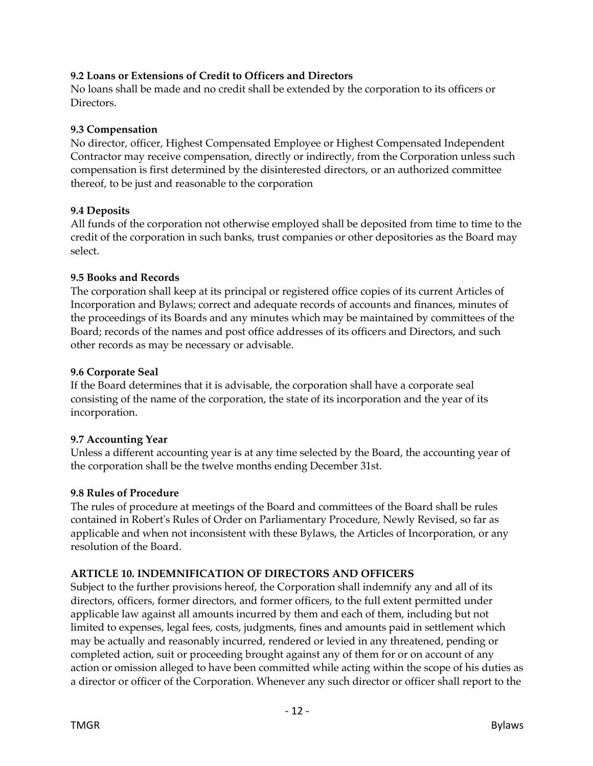## **9.2 Loans or Extensions of Credit to Officers and Directors**

No loans shall be made and no credit shall be extended by the corporation to its officers or Directors.

## **9.3 Compensation**

No director, officer, Highest Compensated Employee or Highest Compensated Independent Contractor may receive compensation, directly or indirectly, from the Corporation unless such compensation is first determined by the disinterested directors, or an authorized committee thereof, to be just and reasonable to the corporation

## **9.4 Deposits**

All funds of the corporation not otherwise employed shall be deposited from time to time to the credit of the corporation in such banks, trust companies or other depositories as the Board may select.

## **9.5 Books and Records**

The corporation shall keep at its principal or registered office copies of its current Articles of Incorporation and Bylaws; correct and adequate records of accounts and finances, minutes of the proceedings of its Boards and any minutes which may be maintained by committees of the Board; records of the names and post office addresses of its officers and Directors, and such other records as may be necessary or advisable.

## **9.6 Corporate Seal**

If the Board determines that it is advisable, the corporation shall have a corporate seal consisting of the name of the corporation, the state of its incorporation and the year of its incorporation.

## **9.7 Accounting Year**

Unless a different accounting year is at any time selected by the Board, the accounting year of the corporation shall be the twelve months ending December 31st.

## **9.8 Rules of Procedure**

The rules of procedure at meetings of the Board and committees of the Board shall be rules contained in Robert's Rules of Order on Parliamentary Procedure, Newly Revised, so far as applicable and when not inconsistent with these Bylaws, the Articles of Incorporation, or any resolution of the Board.

## **ARTICLE 10. INDEMNIFICATION OF DIRECTORS AND OFFICERS**

Subject to the further provisions hereof, the Corporation shall indemnify any and all of its directors, officers, former directors, and former officers, to the full extent permitted under applicable law against all amounts incurred by them and each of them, including but not limited to expenses, legal fees, costs, judgments, fines and amounts paid in settlement which may be actually and reasonably incurred, rendered or levied in any threatened, pending or completed action, suit or proceeding brought against any of them for or on account of any action or omission alleged to have been committed while acting within the scope of his duties as a director or officer of the Corporation. Whenever any such director or officer shall report to the

- 12 -